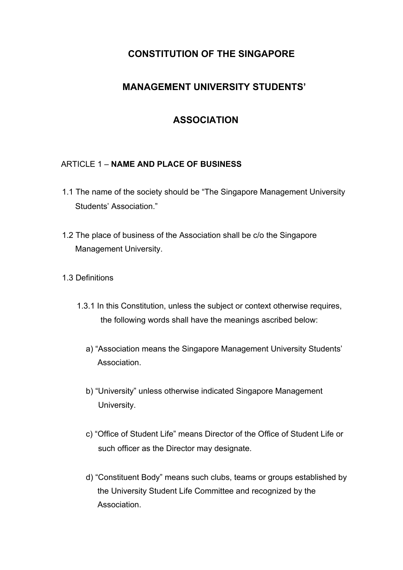# **CONSTITUTION OF THE SINGAPORE**

# **MANAGEMENT UNIVERSITY STUDENTS'**

# **ASSOCIATION**

### ARTICLE 1 – **NAME AND PLACE OF BUSINESS**

- 1.1 The name of the society should be "The Singapore Management University Students' Association."
- 1.2 The place of business of the Association shall be c/o the Singapore Management University.
- 1.3 Definitions
	- 1.3.1 In this Constitution, unless the subject or context otherwise requires, the following words shall have the meanings ascribed below:
		- a) "Association means the Singapore Management University Students' Association.
		- b) "University" unless otherwise indicated Singapore Management University.
		- c) "Office of Student Life" means Director of the Office of Student Life or such officer as the Director may designate.
		- d) "Constituent Body" means such clubs, teams or groups established by the University Student Life Committee and recognized by the Association.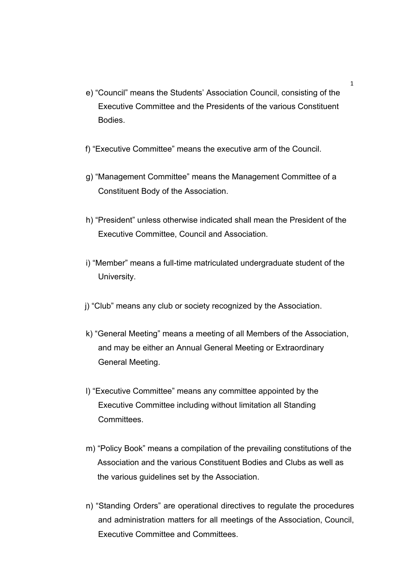- e) "Council" means the Students' Association Council, consisting of the Executive Committee and the Presidents of the various Constituent Bodies.
- f) "Executive Committee" means the executive arm of the Council.
- g) "Management Committee" means the Management Committee of a Constituent Body of the Association.
- h) "President" unless otherwise indicated shall mean the President of the Executive Committee, Council and Association.
- i) "Member" means a full-time matriculated undergraduate student of the University.
- j) "Club" means any club or society recognized by the Association.
- k) "General Meeting" means a meeting of all Members of the Association, and may be either an Annual General Meeting or Extraordinary General Meeting.
- l) "Executive Committee" means any committee appointed by the Executive Committee including without limitation all Standing Committees.
- m) "Policy Book" means a compilation of the prevailing constitutions of the Association and the various Constituent Bodies and Clubs as well as the various guidelines set by the Association.
- n) "Standing Orders" are operational directives to regulate the procedures and administration matters for all meetings of the Association, Council, Executive Committee and Committees.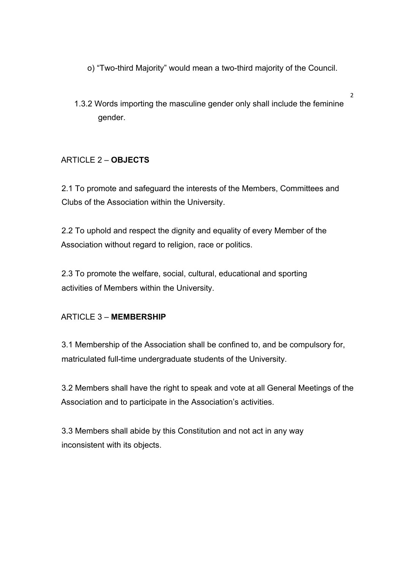- o) "Two-third Majority" would mean a two-third majority of the Council.
- 1.3.2 Words importing the masculine gender only shall include the feminine gender.

2

## ARTICLE 2 – **OBJECTS**

2.1 To promote and safeguard the interests of the Members, Committees and Clubs of the Association within the University.

2.2 To uphold and respect the dignity and equality of every Member of the Association without regard to religion, race or politics.

2.3 To promote the welfare, social, cultural, educational and sporting activities of Members within the University.

### ARTICLE 3 – **MEMBERSHIP**

3.1 Membership of the Association shall be confined to, and be compulsory for, matriculated full-time undergraduate students of the University.

3.2 Members shall have the right to speak and vote at all General Meetings of the Association and to participate in the Association's activities.

3.3 Members shall abide by this Constitution and not act in any way inconsistent with its objects.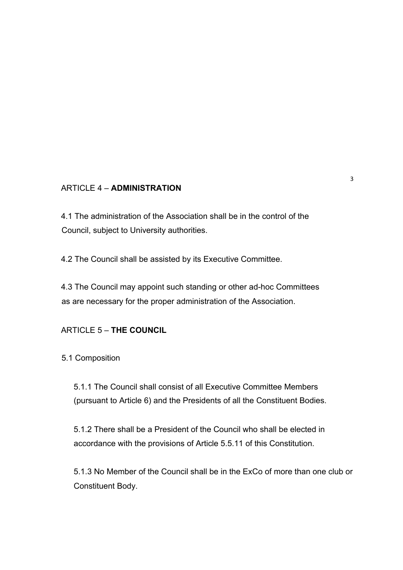### ARTICLE 4 – **ADMINISTRATION**

4.1 The administration of the Association shall be in the control of the Council, subject to University authorities.

4.2 The Council shall be assisted by its Executive Committee.

4.3 The Council may appoint such standing or other ad-hoc Committees as are necessary for the proper administration of the Association.

#### ARTICLE 5 – **THE COUNCIL**

5.1 Composition

5.1.1 The Council shall consist of all Executive Committee Members (pursuant to Article 6) and the Presidents of all the Constituent Bodies.

5.1.2 There shall be a President of the Council who shall be elected in accordance with the provisions of Article 5.5.11 of this Constitution.

5.1.3 No Member of the Council shall be in the ExCo of more than one club or Constituent Body.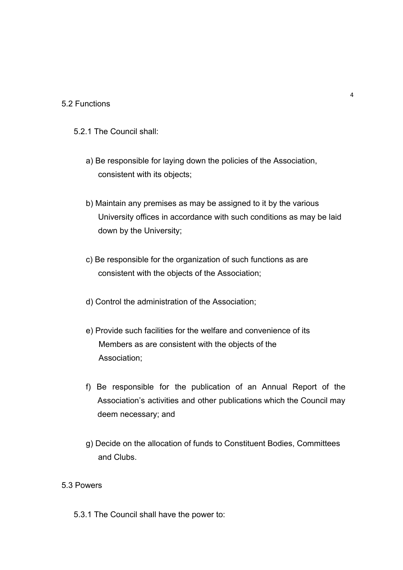#### 5.2 Functions

- 5.2.1 The Council shall:
	- a) Be responsible for laying down the policies of the Association, consistent with its objects;
	- b) Maintain any premises as may be assigned to it by the various University offices in accordance with such conditions as may be laid down by the University;
	- c) Be responsible for the organization of such functions as are consistent with the objects of the Association;
	- d) Control the administration of the Association;
	- e) Provide such facilities for the welfare and convenience of its Members as are consistent with the objects of the Association;
	- f) Be responsible for the publication of an Annual Report of the Association's activities and other publications which the Council may deem necessary; and
	- g) Decide on the allocation of funds to Constituent Bodies, Committees and Clubs.

## 5.3 Powers

5.3.1 The Council shall have the power to: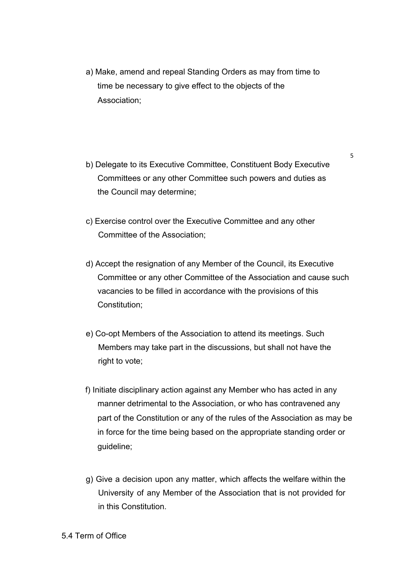- a) Make, amend and repeal Standing Orders as may from time to time be necessary to give effect to the objects of the Association;
- b) Delegate to its Executive Committee, Constituent Body Executive Committees or any other Committee such powers and duties as the Council may determine;
- c) Exercise control over the Executive Committee and any other Committee of the Association;
- d) Accept the resignation of any Member of the Council, its Executive Committee or any other Committee of the Association and cause such vacancies to be filled in accordance with the provisions of this Constitution;
- e) Co-opt Members of the Association to attend its meetings. Such Members may take part in the discussions, but shall not have the right to vote;
- f) Initiate disciplinary action against any Member who has acted in any manner detrimental to the Association, or who has contravened any part of the Constitution or any of the rules of the Association as may be in force for the time being based on the appropriate standing order or guideline;
- g) Give a decision upon any matter, which affects the welfare within the University of any Member of the Association that is not provided for in this Constitution.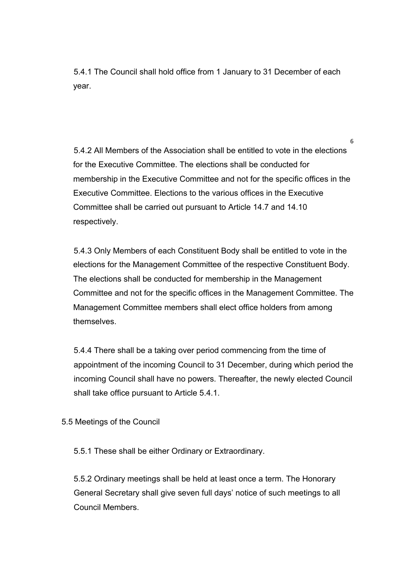5.4.1 The Council shall hold office from 1 January to 31 December of each year.

5.4.2 All Members of the Association shall be entitled to vote in the elections for the Executive Committee. The elections shall be conducted for membership in the Executive Committee and not for the specific offices in the Executive Committee. Elections to the various offices in the Executive Committee shall be carried out pursuant to Article 14.7 and 14.10 respectively.

6

5.4.3 Only Members of each Constituent Body shall be entitled to vote in the elections for the Management Committee of the respective Constituent Body. The elections shall be conducted for membership in the Management Committee and not for the specific offices in the Management Committee. The Management Committee members shall elect office holders from among themselves.

5.4.4 There shall be a taking over period commencing from the time of appointment of the incoming Council to 31 December, during which period the incoming Council shall have no powers. Thereafter, the newly elected Council shall take office pursuant to Article 5.4.1.

5.5 Meetings of the Council

5.5.1 These shall be either Ordinary or Extraordinary.

5.5.2 Ordinary meetings shall be held at least once a term. The Honorary General Secretary shall give seven full days' notice of such meetings to all Council Members.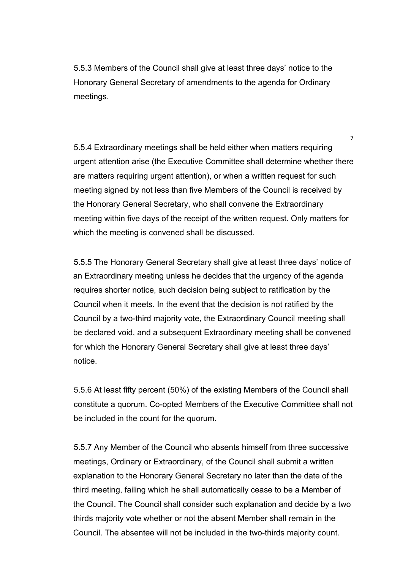5.5.3 Members of the Council shall give at least three days' notice to the Honorary General Secretary of amendments to the agenda for Ordinary meetings.

5.5.4 Extraordinary meetings shall be held either when matters requiring urgent attention arise (the Executive Committee shall determine whether there are matters requiring urgent attention), or when a written request for such meeting signed by not less than five Members of the Council is received by the Honorary General Secretary, who shall convene the Extraordinary meeting within five days of the receipt of the written request. Only matters for which the meeting is convened shall be discussed.

7

5.5.5 The Honorary General Secretary shall give at least three days' notice of an Extraordinary meeting unless he decides that the urgency of the agenda requires shorter notice, such decision being subject to ratification by the Council when it meets. In the event that the decision is not ratified by the Council by a two-third majority vote, the Extraordinary Council meeting shall be declared void, and a subsequent Extraordinary meeting shall be convened for which the Honorary General Secretary shall give at least three days' notice.

5.5.6 At least fifty percent (50%) of the existing Members of the Council shall constitute a quorum. Co-opted Members of the Executive Committee shall not be included in the count for the quorum.

5.5.7 Any Member of the Council who absents himself from three successive meetings, Ordinary or Extraordinary, of the Council shall submit a written explanation to the Honorary General Secretary no later than the date of the third meeting, failing which he shall automatically cease to be a Member of the Council. The Council shall consider such explanation and decide by a two thirds majority vote whether or not the absent Member shall remain in the Council. The absentee will not be included in the two-thirds majority count.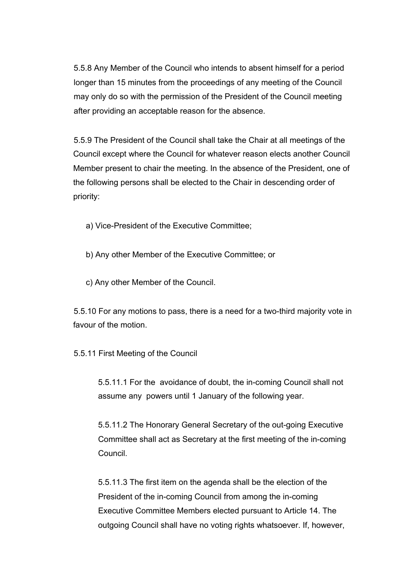5.5.8 Any Member of the Council who intends to absent himself for a period longer than 15 minutes from the proceedings of any meeting of the Council may only do so with the permission of the President of the Council meeting after providing an acceptable reason for the absence.

5.5.9 The President of the Council shall take the Chair at all meetings of the Council except where the Council for whatever reason elects another Council Member present to chair the meeting. In the absence of the President, one of the following persons shall be elected to the Chair in descending order of priority:

a) Vice-President of the Executive Committee;

b) Any other Member of the Executive Committee; or

c) Any other Member of the Council.

5.5.10 For any motions to pass, there is a need for a two-third majority vote in favour of the motion.

5.5.11 First Meeting of the Council

5.5.11.1 For the avoidance of doubt, the in-coming Council shall not assume any powers until 1 January of the following year.

5.5.11.2 The Honorary General Secretary of the out-going Executive Committee shall act as Secretary at the first meeting of the in-coming Council.

5.5.11.3 The first item on the agenda shall be the election of the President of the in-coming Council from among the in-coming Executive Committee Members elected pursuant to Article 14. The outgoing Council shall have no voting rights whatsoever. If, however,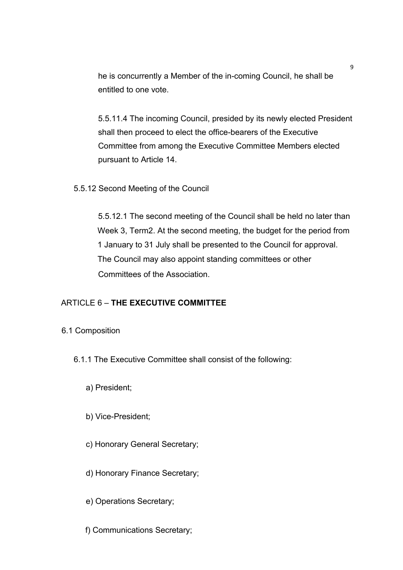he is concurrently a Member of the in-coming Council, he shall be entitled to one vote.

5.5.11.4 The incoming Council, presided by its newly elected President shall then proceed to elect the office-bearers of the Executive Committee from among the Executive Committee Members elected pursuant to Article 14.

5.5.12 Second Meeting of the Council

5.5.12.1 The second meeting of the Council shall be held no later than Week 3, Term2. At the second meeting, the budget for the period from 1 January to 31 July shall be presented to the Council for approval. The Council may also appoint standing committees or other Committees of the Association.

#### ARTICLE 6 – **THE EXECUTIVE COMMITTEE**

6.1 Composition

6.1.1 The Executive Committee shall consist of the following:

a) President;

b) Vice-President;

c) Honorary General Secretary;

d) Honorary Finance Secretary;

e) Operations Secretary;

f) Communications Secretary;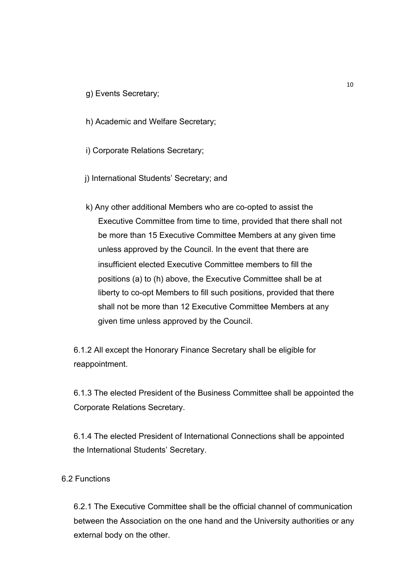g) Events Secretary;

h) Academic and Welfare Secretary;

i) Corporate Relations Secretary;

j) International Students' Secretary; and

k) Any other additional Members who are co-opted to assist the Executive Committee from time to time, provided that there shall not be more than 15 Executive Committee Members at any given time unless approved by the Council. In the event that there are insufficient elected Executive Committee members to fill the positions (a) to (h) above, the Executive Committee shall be at liberty to co-opt Members to fill such positions, provided that there shall not be more than 12 Executive Committee Members at any given time unless approved by the Council.

6.1.2 All except the Honorary Finance Secretary shall be eligible for reappointment.

6.1.3 The elected President of the Business Committee shall be appointed the Corporate Relations Secretary.

6.1.4 The elected President of International Connections shall be appointed the International Students' Secretary.

#### 6.2 Functions

6.2.1 The Executive Committee shall be the official channel of communication between the Association on the one hand and the University authorities or any external body on the other.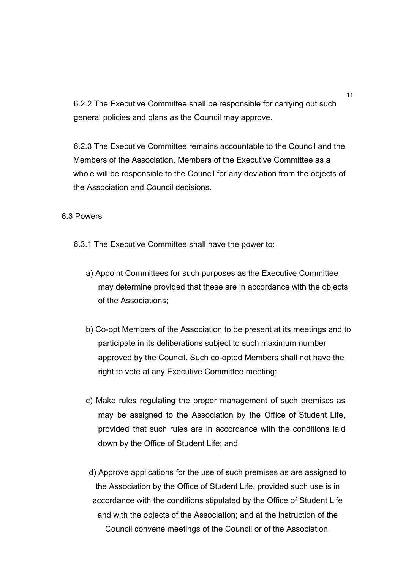6.2.2 The Executive Committee shall be responsible for carrying out such general policies and plans as the Council may approve.

6.2.3 The Executive Committee remains accountable to the Council and the Members of the Association. Members of the Executive Committee as a whole will be responsible to the Council for any deviation from the objects of the Association and Council decisions.

#### 6.3 Powers

- 6.3.1 The Executive Committee shall have the power to:
	- a) Appoint Committees for such purposes as the Executive Committee may determine provided that these are in accordance with the objects of the Associations;
	- b) Co-opt Members of the Association to be present at its meetings and to participate in its deliberations subject to such maximum number approved by the Council. Such co-opted Members shall not have the right to vote at any Executive Committee meeting;
	- c) Make rules regulating the proper management of such premises as may be assigned to the Association by the Office of Student Life, provided that such rules are in accordance with the conditions laid down by the Office of Student Life; and
	- d) Approve applications for the use of such premises as are assigned to the Association by the Office of Student Life, provided such use is in accordance with the conditions stipulated by the Office of Student Life and with the objects of the Association; and at the instruction of the Council convene meetings of the Council or of the Association.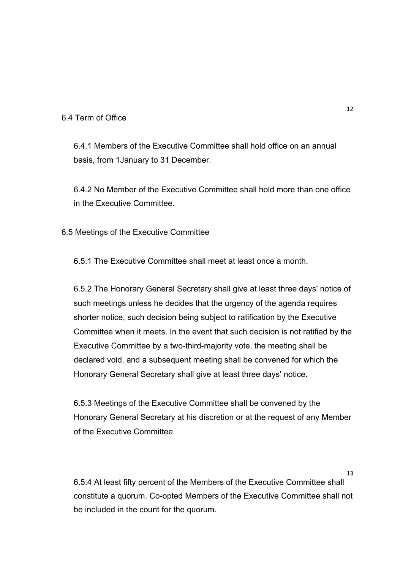#### 6.4 Term of Office

6.4.1 Members of the Executive Committee shall hold office on an annual basis, from 1January to 31 December.

6.4.2 No Member of the Executive Committee shall hold more than one office in the Executive Committee.

6.5 Meetings of the Executive Committee

6.5.1 The Executive Committee shall meet at least once a month.

6.5.2 The Honorary General Secretary shall give at least three days' notice of such meetings unless he decides that the urgency of the agenda requires shorter notice, such decision being subject to ratification by the Executive Committee when it meets. In the event that such decision is not ratified by the Executive Committee by a two-third-majority vote, the meeting shall be declared void, and a subsequent meeting shall be convened for which the Honorary General Secretary shall give at least three days' notice.

6.5.3 Meetings of the Executive Committee shall be convened by the Honorary General Secretary at his discretion or at the request of any Member of the Executive Committee.

6.5.4 At least fifty percent of the Members of the Executive Committee shall constitute a quorum. Co-opted Members of the Executive Committee shall not be included in the count for the quorum.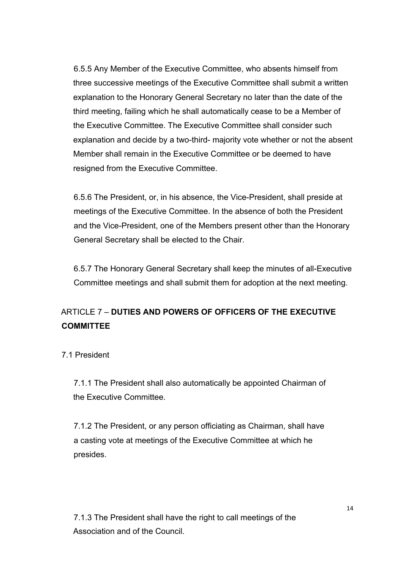6.5.5 Any Member of the Executive Committee, who absents himself from three successive meetings of the Executive Committee shall submit a written explanation to the Honorary General Secretary no later than the date of the third meeting, failing which he shall automatically cease to be a Member of the Executive Committee. The Executive Committee shall consider such explanation and decide by a two-third- majority vote whether or not the absent Member shall remain in the Executive Committee or be deemed to have resigned from the Executive Committee.

6.5.6 The President, or, in his absence, the Vice-President, shall preside at meetings of the Executive Committee. In the absence of both the President and the Vice-President, one of the Members present other than the Honorary General Secretary shall be elected to the Chair.

6.5.7 The Honorary General Secretary shall keep the minutes of all-Executive Committee meetings and shall submit them for adoption at the next meeting.

# ARTICLE 7 – **DUTIES AND POWERS OF OFFICERS OF THE EXECUTIVE COMMITTEE**

7.1 President

7.1.1 The President shall also automatically be appointed Chairman of the Executive Committee.

7.1.2 The President, or any person officiating as Chairman, shall have a casting vote at meetings of the Executive Committee at which he presides.

7.1.3 The President shall have the right to call meetings of the Association and of the Council.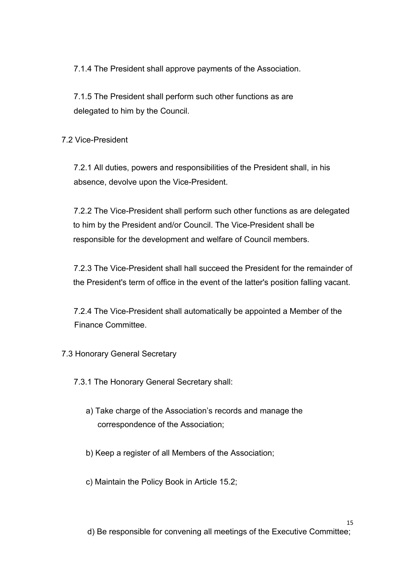7.1.4 The President shall approve payments of the Association.

7.1.5 The President shall perform such other functions as are delegated to him by the Council.

7.2 Vice-President

7.2.1 All duties, powers and responsibilities of the President shall, in his absence, devolve upon the Vice-President.

7.2.2 The Vice-President shall perform such other functions as are delegated to him by the President and/or Council. The Vice-President shall be responsible for the development and welfare of Council members.

7.2.3 The Vice-President shall hall succeed the President for the remainder of the President's term of office in the event of the latter's position falling vacant.

7.2.4 The Vice-President shall automatically be appointed a Member of the Finance Committee.

7.3 Honorary General Secretary

7.3.1 The Honorary General Secretary shall:

- a) Take charge of the Association's records and manage the correspondence of the Association;
- b) Keep a register of all Members of the Association;
- c) Maintain the Policy Book in Article 15.2;

d) Be responsible for convening all meetings of the Executive Committee;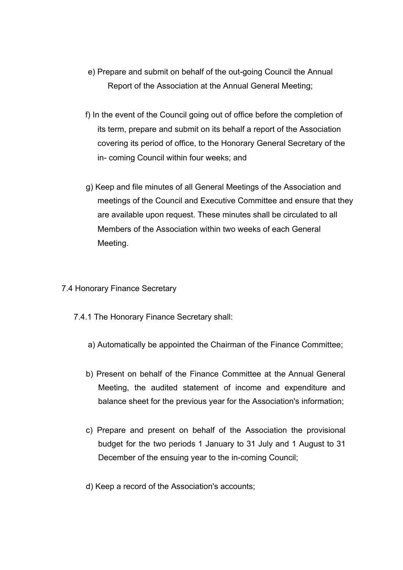- e) Prepare and submit on behalf of the out-going Council the Annual Report of the Association at the Annual General Meeting;
- f) In the event of the Council going out of office before the completion of its term, prepare and submit on its behalf a report of the Association covering its period of office, to the Honorary General Secretary of the in- coming Council within four weeks; and
- g) Keep and file minutes of all General Meetings of the Association and meetings of the Council and Executive Committee and ensure that they are available upon request. These minutes shall be circulated to all Members of the Association within two weeks of each General Meeting.
- 7.4 Honorary Finance Secretary
	- 7.4.1 The Honorary Finance Secretary shall:
		- a) Automatically be appointed the Chairman of the Finance Committee;
		- b) Present on behalf of the Finance Committee at the Annual General Meeting, the audited statement of income and expenditure and balance sheet for the previous year for the Association's information;
		- c) Prepare and present on behalf of the Association the provisional budget for the two periods 1 January to 31 July and 1 August to 31 December of the ensuing year to the in-coming Council;
		- d) Keep a record of the Association's accounts;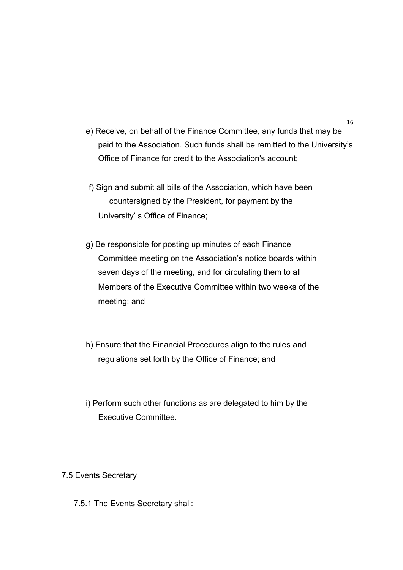- e) Receive, on behalf of the Finance Committee, any funds that may be paid to the Association. Such funds shall be remitted to the University's Office of Finance for credit to the Association's account;
- f) Sign and submit all bills of the Association, which have been countersigned by the President, for payment by the University' s Office of Finance;
- g) Be responsible for posting up minutes of each Finance Committee meeting on the Association's notice boards within seven days of the meeting, and for circulating them to all Members of the Executive Committee within two weeks of the meeting; and
- h) Ensure that the Financial Procedures align to the rules and regulations set forth by the Office of Finance; and
- i) Perform such other functions as are delegated to him by the Executive Committee.
- 7.5 Events Secretary
	- 7.5.1 The Events Secretary shall: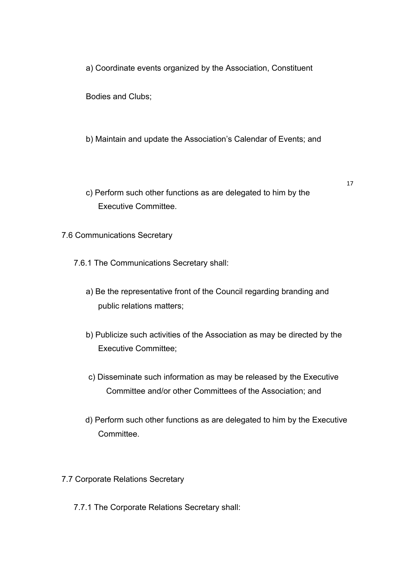a) Coordinate events organized by the Association, Constituent

Bodies and Clubs;

b) Maintain and update the Association's Calendar of Events; and

c) Perform such other functions as are delegated to him by the Executive Committee.

- 7.6 Communications Secretary
	- 7.6.1 The Communications Secretary shall:
		- a) Be the representative front of the Council regarding branding and public relations matters;
		- b) Publicize such activities of the Association as may be directed by the Executive Committee;
		- c) Disseminate such information as may be released by the Executive Committee and/or other Committees of the Association; and
		- d) Perform such other functions as are delegated to him by the Executive Committee.
- 7.7 Corporate Relations Secretary
	- 7.7.1 The Corporate Relations Secretary shall: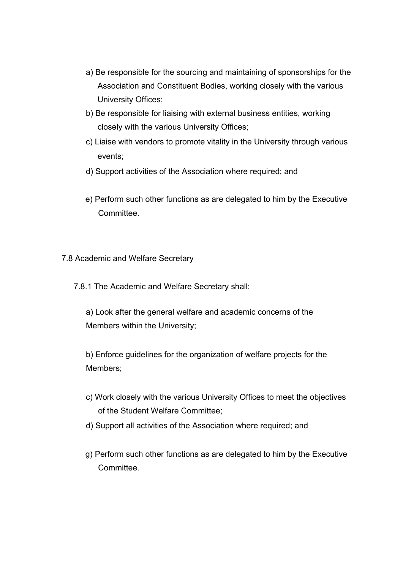- a) Be responsible for the sourcing and maintaining of sponsorships for the Association and Constituent Bodies, working closely with the various University Offices;
- b) Be responsible for liaising with external business entities, working closely with the various University Offices;
- c) Liaise with vendors to promote vitality in the University through various events;
- d) Support activities of the Association where required; and
- e) Perform such other functions as are delegated to him by the Executive **Committee.**
- 7.8 Academic and Welfare Secretary

7.8.1 The Academic and Welfare Secretary shall:

a) Look after the general welfare and academic concerns of the Members within the University;

b) Enforce guidelines for the organization of welfare projects for the Members;

- c) Work closely with the various University Offices to meet the objectives of the Student Welfare Committee;
- d) Support all activities of the Association where required; and
- g) Perform such other functions as are delegated to him by the Executive Committee.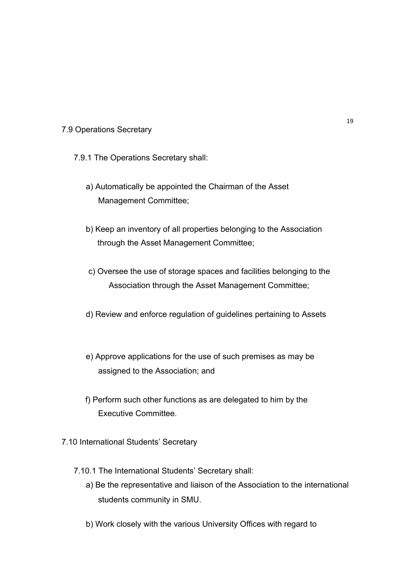#### 7.9 Operations Secretary

7.9.1 The Operations Secretary shall:

- a) Automatically be appointed the Chairman of the Asset Management Committee;
- b) Keep an inventory of all properties belonging to the Association through the Asset Management Committee;
- c) Oversee the use of storage spaces and facilities belonging to the Association through the Asset Management Committee;
- d) Review and enforce regulation of guidelines pertaining to Assets
- e) Approve applications for the use of such premises as may be assigned to the Association; and
- f) Perform such other functions as are delegated to him by the Executive Committee.
- 7.10 International Students' Secretary
	- 7.10.1 The International Students' Secretary shall:
		- a) Be the representative and liaison of the Association to the international students community in SMU.
		- b) Work closely with the various University Offices with regard to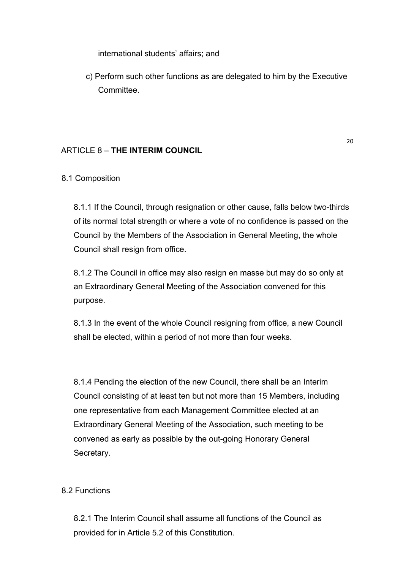international students' affairs; and

c) Perform such other functions as are delegated to him by the Executive Committee.

### ARTICLE 8 – **THE INTERIM COUNCIL**

20

### 8.1 Composition

8.1.1 If the Council, through resignation or other cause, falls below two-thirds of its normal total strength or where a vote of no confidence is passed on the Council by the Members of the Association in General Meeting, the whole Council shall resign from office.

8.1.2 The Council in office may also resign en masse but may do so only at an Extraordinary General Meeting of the Association convened for this purpose.

8.1.3 In the event of the whole Council resigning from office, a new Council shall be elected, within a period of not more than four weeks.

8.1.4 Pending the election of the new Council, there shall be an Interim Council consisting of at least ten but not more than 15 Members, including one representative from each Management Committee elected at an Extraordinary General Meeting of the Association, such meeting to be convened as early as possible by the out-going Honorary General Secretary.

### 8.2 Functions

8.2.1 The Interim Council shall assume all functions of the Council as provided for in Article 5.2 of this Constitution.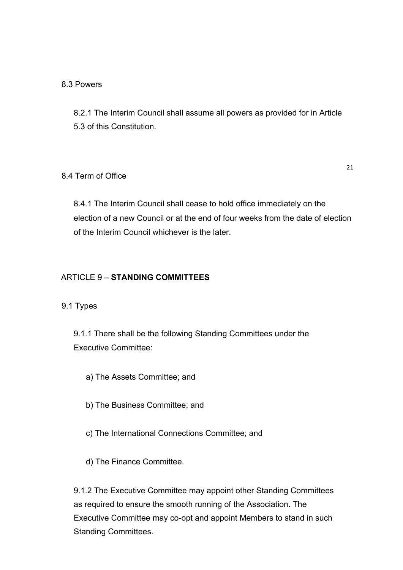### 8.3 Powers

8.2.1 The Interim Council shall assume all powers as provided for in Article 5.3 of this Constitution.

### 8.4 Term of Office

21

8.4.1 The Interim Council shall cease to hold office immediately on the election of a new Council or at the end of four weeks from the date of election of the Interim Council whichever is the later.

## ARTICLE 9 – **STANDING COMMITTEES**

### 9.1 Types

9.1.1 There shall be the following Standing Committees under the Executive Committee:

- a) The Assets Committee; and
- b) The Business Committee; and
- c) The International Connections Committee; and
- d) The Finance Committee.

9.1.2 The Executive Committee may appoint other Standing Committees as required to ensure the smooth running of the Association. The Executive Committee may co-opt and appoint Members to stand in such Standing Committees.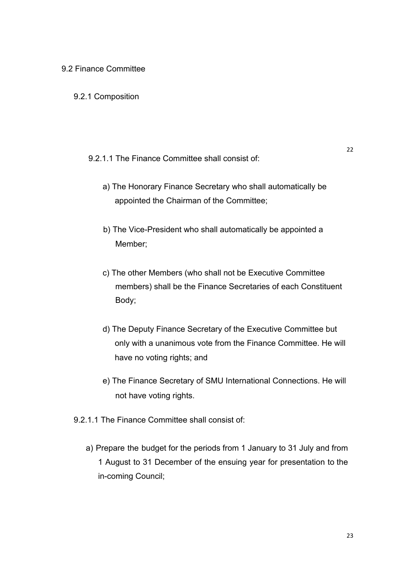#### 9.2 Finance Committee

- 9.2.1 Composition
	- 9.2.1.1 The Finance Committee shall consist of:
		- a) The Honorary Finance Secretary who shall automatically be appointed the Chairman of the Committee;
		- b) The Vice-President who shall automatically be appointed a Member;
		- c) The other Members (who shall not be Executive Committee members) shall be the Finance Secretaries of each Constituent Body;
		- d) The Deputy Finance Secretary of the Executive Committee but only with a unanimous vote from the Finance Committee. He will have no voting rights; and
		- e) The Finance Secretary of SMU International Connections. He will not have voting rights.
- 9.2.1.1 The Finance Committee shall consist of:
	- a) Prepare the budget for the periods from 1 January to 31 July and from 1 August to 31 December of the ensuing year for presentation to the in-coming Council;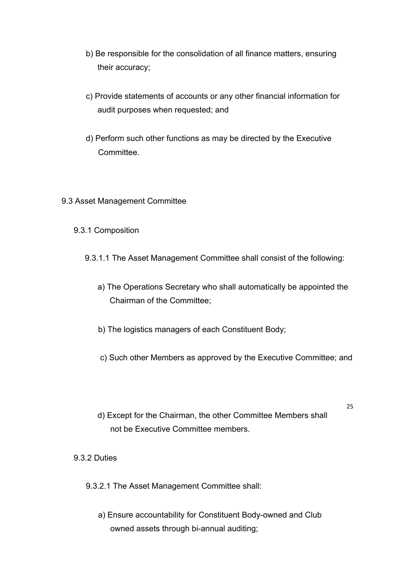- b) Be responsible for the consolidation of all finance matters, ensuring their accuracy;
- c) Provide statements of accounts or any other financial information for audit purposes when requested; and
- d) Perform such other functions as may be directed by the Executive **Committee.**
- 9.3 Asset Management Committee
	- 9.3.1 Composition
		- 9.3.1.1 The Asset Management Committee shall consist of the following:
			- a) The Operations Secretary who shall automatically be appointed the Chairman of the Committee;
			- b) The logistics managers of each Constituent Body;
			- c) Such other Members as approved by the Executive Committee; and

25

d) Except for the Chairman, the other Committee Members shall not be Executive Committee members.

#### 9.3.2 Duties

- 9.3.2.1 The Asset Management Committee shall:
	- a) Ensure accountability for Constituent Body-owned and Club owned assets through bi-annual auditing;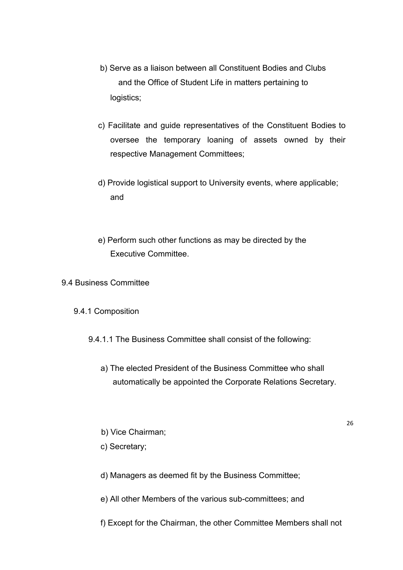- b) Serve as a liaison between all Constituent Bodies and Clubs and the Office of Student Life in matters pertaining to logistics;
- c) Facilitate and guide representatives of the Constituent Bodies to oversee the temporary loaning of assets owned by their respective Management Committees;
- d) Provide logistical support to University events, where applicable; and
- e) Perform such other functions as may be directed by the Executive Committee.
- 9.4 Business Committee
	- 9.4.1 Composition
		- 9.4.1.1 The Business Committee shall consist of the following:
			- a) The elected President of the Business Committee who shall automatically be appointed the Corporate Relations Secretary.

- b) Vice Chairman;
- c) Secretary;
- d) Managers as deemed fit by the Business Committee;
- e) All other Members of the various sub-committees; and
- f) Except for the Chairman, the other Committee Members shall not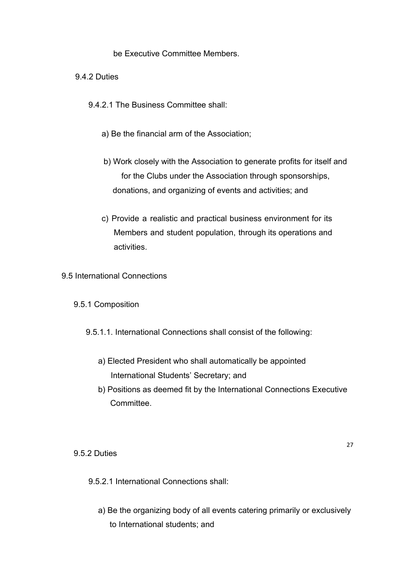be Executive Committee Members.

9.4.2 Duties

9.4.2.1 The Business Committee shall:

- a) Be the financial arm of the Association;
- b) Work closely with the Association to generate profits for itself and for the Clubs under the Association through sponsorships, donations, and organizing of events and activities; and
- c) Provide a realistic and practical business environment for its Members and student population, through its operations and activities.

9.5 International Connections

#### 9.5.1 Composition

- 9.5.1.1. International Connections shall consist of the following:
	- a) Elected President who shall automatically be appointed International Students' Secretary; and
	- b) Positions as deemed fit by the International Connections Executive Committee.

9.5.2 Duties

- 9.5.2.1 International Connections shall:
	- a) Be the organizing body of all events catering primarily or exclusively to International students; and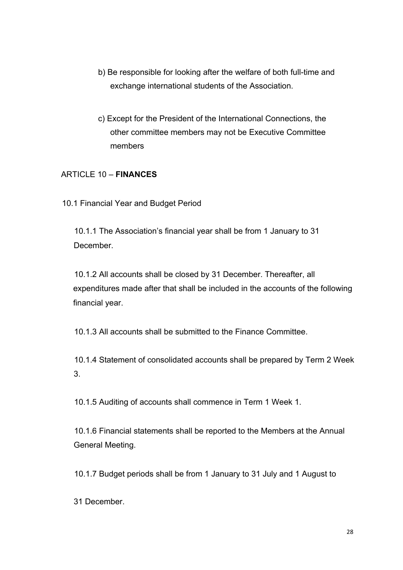- b) Be responsible for looking after the welfare of both full-time and exchange international students of the Association.
- c) Except for the President of the International Connections, the other committee members may not be Executive Committee members

## ARTICLE 10 – **FINANCES**

10.1 Financial Year and Budget Period

10.1.1 The Association's financial year shall be from 1 January to 31 **December** 

10.1.2 All accounts shall be closed by 31 December. Thereafter, all expenditures made after that shall be included in the accounts of the following financial year.

10.1.3 All accounts shall be submitted to the Finance Committee.

10.1.4 Statement of consolidated accounts shall be prepared by Term 2 Week 3.

10.1.5 Auditing of accounts shall commence in Term 1 Week 1.

10.1.6 Financial statements shall be reported to the Members at the Annual General Meeting.

10.1.7 Budget periods shall be from 1 January to 31 July and 1 August to

31 December.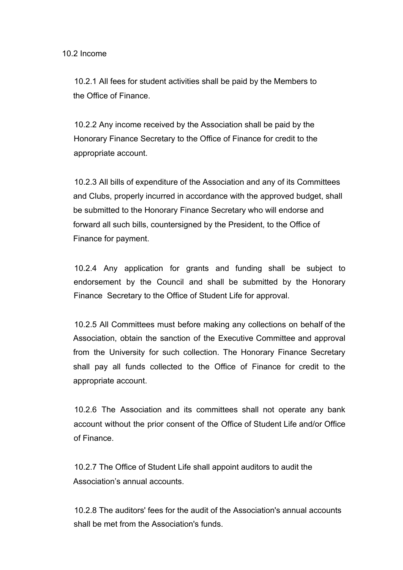10.2.1 All fees for student activities shall be paid by the Members to the Office of Finance.

10.2.2 Any income received by the Association shall be paid by the Honorary Finance Secretary to the Office of Finance for credit to the appropriate account.

10.2.3 All bills of expenditure of the Association and any of its Committees and Clubs, properly incurred in accordance with the approved budget, shall be submitted to the Honorary Finance Secretary who will endorse and forward all such bills, countersigned by the President, to the Office of Finance for payment.

10.2.4 Any application for grants and funding shall be subject to endorsement by the Council and shall be submitted by the Honorary Finance Secretary to the Office of Student Life for approval.

10.2.5 All Committees must before making any collections on behalf of the Association, obtain the sanction of the Executive Committee and approval from the University for such collection. The Honorary Finance Secretary shall pay all funds collected to the Office of Finance for credit to the appropriate account.

10.2.6 The Association and its committees shall not operate any bank account without the prior consent of the Office of Student Life and/or Office of Finance.

10.2.7 The Office of Student Life shall appoint auditors to audit the Association's annual accounts.

10.2.8 The auditors' fees for the audit of the Association's annual accounts shall be met from the Association's funds.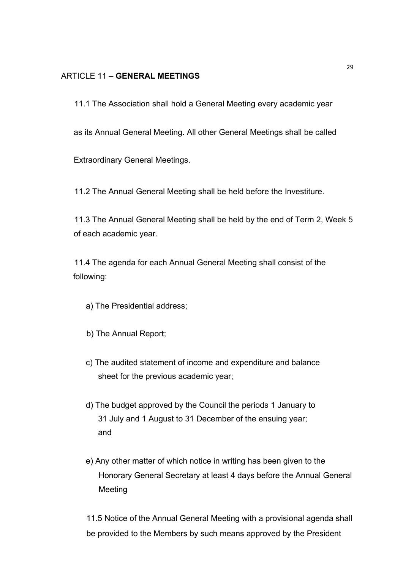### ARTICLE 11 – **GENERAL MEETINGS**

11.1 The Association shall hold a General Meeting every academic year

as its Annual General Meeting. All other General Meetings shall be called

Extraordinary General Meetings.

11.2 The Annual General Meeting shall be held before the Investiture.

11.3 The Annual General Meeting shall be held by the end of Term 2, Week 5 of each academic year.

11.4 The agenda for each Annual General Meeting shall consist of the following:

- a) The Presidential address;
- b) The Annual Report;
- c) The audited statement of income and expenditure and balance sheet for the previous academic year;
- d) The budget approved by the Council the periods 1 January to 31 July and 1 August to 31 December of the ensuing year; and
- e) Any other matter of which notice in writing has been given to the Honorary General Secretary at least 4 days before the Annual General Meeting

11.5 Notice of the Annual General Meeting with a provisional agenda shall be provided to the Members by such means approved by the President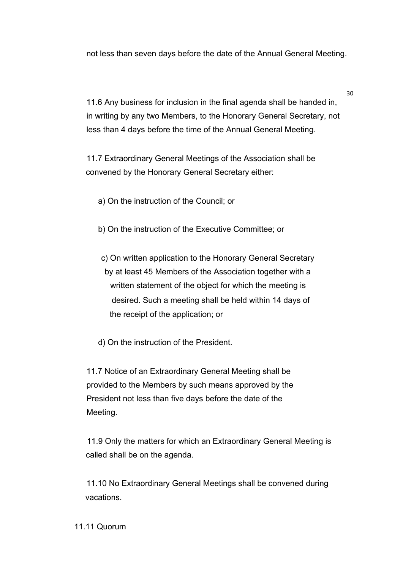not less than seven days before the date of the Annual General Meeting.

11.6 Any business for inclusion in the final agenda shall be handed in, in writing by any two Members, to the Honorary General Secretary, not less than 4 days before the time of the Annual General Meeting.

11.7 Extraordinary General Meetings of the Association shall be convened by the Honorary General Secretary either:

a) On the instruction of the Council; or

- b) On the instruction of the Executive Committee; or
- c) On written application to the Honorary General Secretary by at least 45 Members of the Association together with a written statement of the object for which the meeting is desired. Such a meeting shall be held within 14 days of the receipt of the application; or
- d) On the instruction of the President.

11.7 Notice of an Extraordinary General Meeting shall be provided to the Members by such means approved by the President not less than five days before the date of the Meeting.

11.9 Only the matters for which an Extraordinary General Meeting is called shall be on the agenda.

11.10 No Extraordinary General Meetings shall be convened during vacations.

11.11 Quorum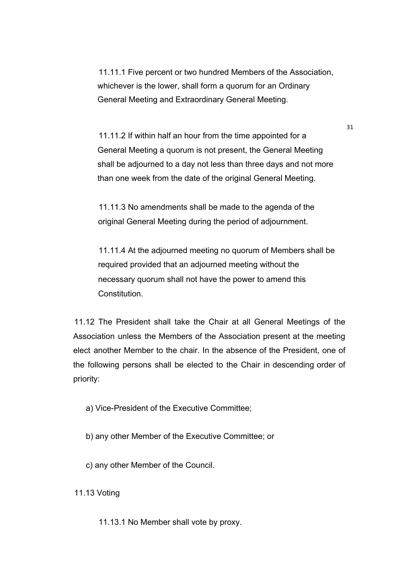11.11.1 Five percent or two hundred Members of the Association, whichever is the lower, shall form a quorum for an Ordinary General Meeting and Extraordinary General Meeting.

11.11.2 If within half an hour from the time appointed for a General Meeting a quorum is not present, the General Meeting shall be adjourned to a day not less than three days and not more than one week from the date of the original General Meeting.

11.11.3 No amendments shall be made to the agenda of the original General Meeting during the period of adjournment.

11.11.4 At the adjourned meeting no quorum of Members shall be required provided that an adjourned meeting without the necessary quorum shall not have the power to amend this **Constitution** 

11.12 The President shall take the Chair at all General Meetings of the Association unless the Members of the Association present at the meeting elect another Member to the chair. In the absence of the President, one of the following persons shall be elected to the Chair in descending order of priority:

a) Vice-President of the Executive Committee;

b) any other Member of the Executive Committee; or

c) any other Member of the Council.

11.13 Voting

11.13.1 No Member shall vote by proxy.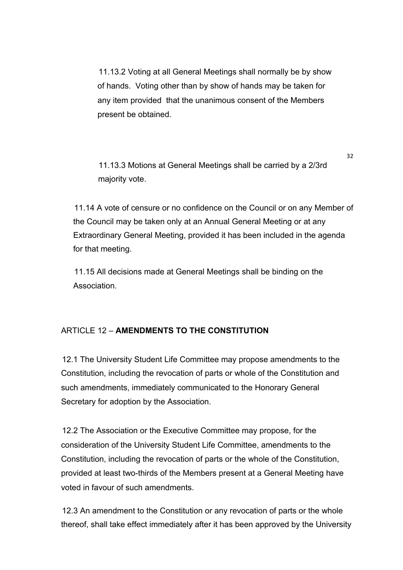11.13.2 Voting at all General Meetings shall normally be by show of hands. Voting other than by show of hands may be taken for any item provided that the unanimous consent of the Members present be obtained.

11.13.3 Motions at General Meetings shall be carried by a 2/3rd majority vote.

11.14 A vote of censure or no confidence on the Council or on any Member of the Council may be taken only at an Annual General Meeting or at any Extraordinary General Meeting, provided it has been included in the agenda for that meeting.

11.15 All decisions made at General Meetings shall be binding on the **Association** 

### ARTICLE 12 – **AMENDMENTS TO THE CONSTITUTION**

12.1 The University Student Life Committee may propose amendments to the Constitution, including the revocation of parts or whole of the Constitution and such amendments, immediately communicated to the Honorary General Secretary for adoption by the Association.

12.2 The Association or the Executive Committee may propose, for the consideration of the University Student Life Committee, amendments to the Constitution, including the revocation of parts or the whole of the Constitution, provided at least two-thirds of the Members present at a General Meeting have voted in favour of such amendments.

12.3 An amendment to the Constitution or any revocation of parts or the whole thereof, shall take effect immediately after it has been approved by the University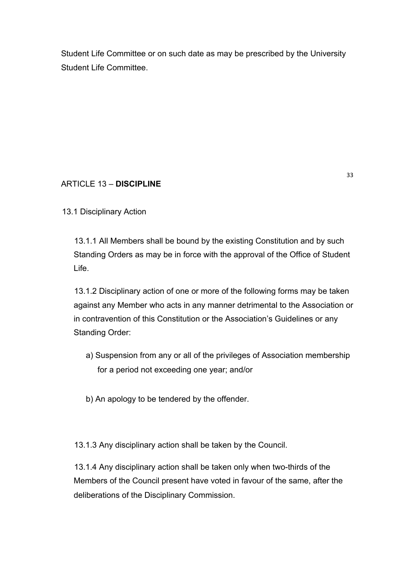Student Life Committee or on such date as may be prescribed by the University Student Life Committee.

# ARTICLE 13 – **DISCIPLINE**

13.1 Disciplinary Action

13.1.1 All Members shall be bound by the existing Constitution and by such Standing Orders as may be in force with the approval of the Office of Student Life.

13.1.2 Disciplinary action of one or more of the following forms may be taken against any Member who acts in any manner detrimental to the Association or in contravention of this Constitution or the Association's Guidelines or any Standing Order:

- a) Suspension from any or all of the privileges of Association membership for a period not exceeding one year; and/or
- b) An apology to be tendered by the offender.

13.1.3 Any disciplinary action shall be taken by the Council.

13.1.4 Any disciplinary action shall be taken only when two-thirds of the Members of the Council present have voted in favour of the same, after the deliberations of the Disciplinary Commission.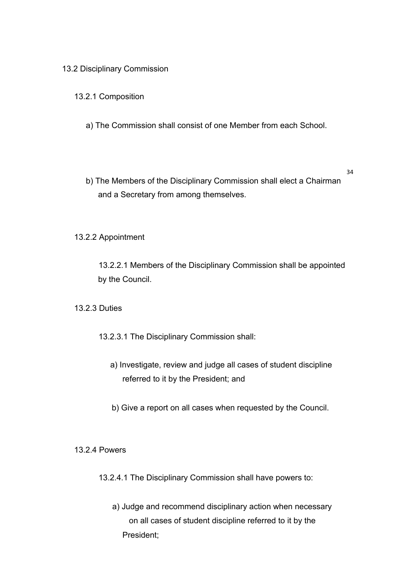#### 13.2 Disciplinary Commission

### 13.2.1 Composition

- a) The Commission shall consist of one Member from each School.
- b) The Members of the Disciplinary Commission shall elect a Chairman and a Secretary from among themselves.

34

13.2.2 Appointment

13.2.2.1 Members of the Disciplinary Commission shall be appointed by the Council.

13.2.3 Duties

13.2.3.1 The Disciplinary Commission shall:

- a) Investigate, review and judge all cases of student discipline referred to it by the President; and
- b) Give a report on all cases when requested by the Council.

13.2.4 Powers

13.2.4.1 The Disciplinary Commission shall have powers to:

a) Judge and recommend disciplinary action when necessary on all cases of student discipline referred to it by the President;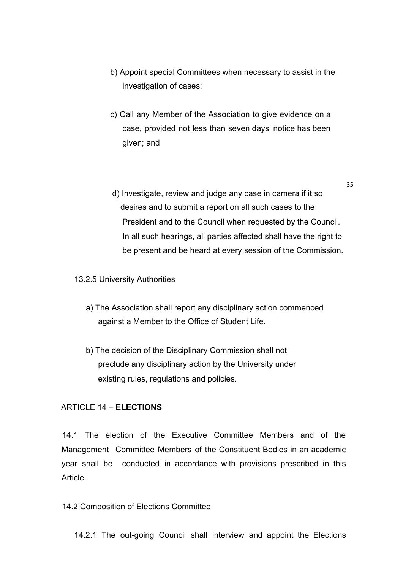- b) Appoint special Committees when necessary to assist in the investigation of cases;
- c) Call any Member of the Association to give evidence on a case, provided not less than seven days' notice has been given; and
- d) Investigate, review and judge any case in camera if it so desires and to submit a report on all such cases to the President and to the Council when requested by the Council. In all such hearings, all parties affected shall have the right to be present and be heard at every session of the Commission.

35

#### 13.2.5 University Authorities

- a) The Association shall report any disciplinary action commenced against a Member to the Office of Student Life.
- b) The decision of the Disciplinary Commission shall not preclude any disciplinary action by the University under existing rules, regulations and policies.

#### ARTICLE 14 – **ELECTIONS**

14.1 The election of the Executive Committee Members and of the Management Committee Members of the Constituent Bodies in an academic year shall be conducted in accordance with provisions prescribed in this Article.

#### 14.2 Composition of Elections Committee

14.2.1 The out-going Council shall interview and appoint the Elections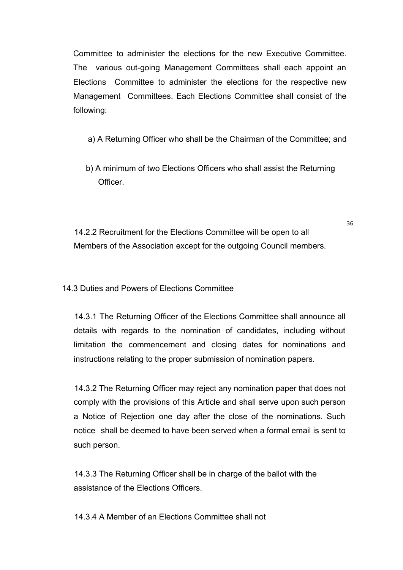Committee to administer the elections for the new Executive Committee. The various out-going Management Committees shall each appoint an Elections Committee to administer the elections for the respective new Management Committees. Each Elections Committee shall consist of the following:

- a) A Returning Officer who shall be the Chairman of the Committee; and
- b) A minimum of two Elections Officers who shall assist the Returning **Officer**

36

14.2.2 Recruitment for the Elections Committee will be open to all Members of the Association except for the outgoing Council members.

14.3 Duties and Powers of Elections Committee

14.3.1 The Returning Officer of the Elections Committee shall announce all details with regards to the nomination of candidates, including without limitation the commencement and closing dates for nominations and instructions relating to the proper submission of nomination papers.

14.3.2 The Returning Officer may reject any nomination paper that does not comply with the provisions of this Article and shall serve upon such person a Notice of Rejection one day after the close of the nominations. Such notice shall be deemed to have been served when a formal email is sent to such person.

14.3.3 The Returning Officer shall be in charge of the ballot with the assistance of the Elections Officers.

14.3.4 A Member of an Elections Committee shall not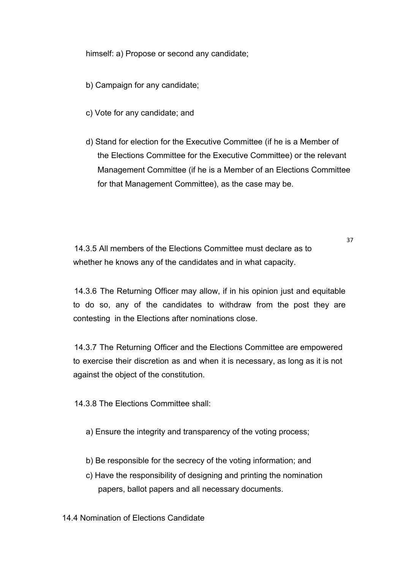himself: a) Propose or second any candidate;

b) Campaign for any candidate;

- c) Vote for any candidate; and
- d) Stand for election for the Executive Committee (if he is a Member of the Elections Committee for the Executive Committee) or the relevant Management Committee (if he is a Member of an Elections Committee for that Management Committee), as the case may be.

37

14.3.5 All members of the Elections Committee must declare as to whether he knows any of the candidates and in what capacity.

14.3.6 The Returning Officer may allow, if in his opinion just and equitable to do so, any of the candidates to withdraw from the post they are contesting in the Elections after nominations close.

14.3.7 The Returning Officer and the Elections Committee are empowered to exercise their discretion as and when it is necessary, as long as it is not against the object of the constitution.

14.3.8 The Elections Committee shall:

a) Ensure the integrity and transparency of the voting process;

- b) Be responsible for the secrecy of the voting information; and
- c) Have the responsibility of designing and printing the nomination papers, ballot papers and all necessary documents.

14.4 Nomination of Elections Candidate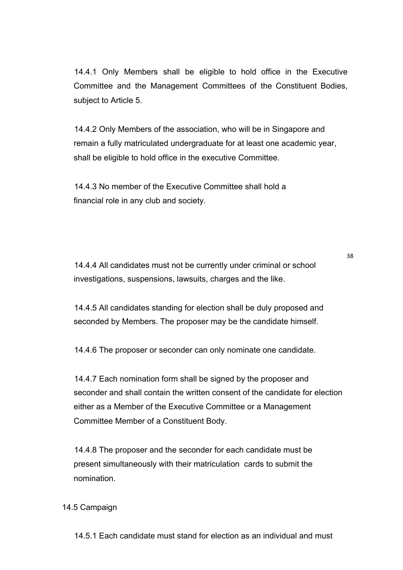14.4.1 Only Members shall be eligible to hold office in the Executive Committee and the Management Committees of the Constituent Bodies, subject to Article 5.

14.4.2 Only Members of the association, who will be in Singapore and remain a fully matriculated undergraduate for at least one academic year, shall be eligible to hold office in the executive Committee.

14.4.3 No member of the Executive Committee shall hold a financial role in any club and society.

14.4.4 All candidates must not be currently under criminal or school investigations, suspensions, lawsuits, charges and the like.

38

14.4.5 All candidates standing for election shall be duly proposed and seconded by Members. The proposer may be the candidate himself.

14.4.6 The proposer or seconder can only nominate one candidate.

14.4.7 Each nomination form shall be signed by the proposer and seconder and shall contain the written consent of the candidate for election either as a Member of the Executive Committee or a Management Committee Member of a Constituent Body.

14.4.8 The proposer and the seconder for each candidate must be present simultaneously with their matriculation cards to submit the nomination.

#### 14.5 Campaign

14.5.1 Each candidate must stand for election as an individual and must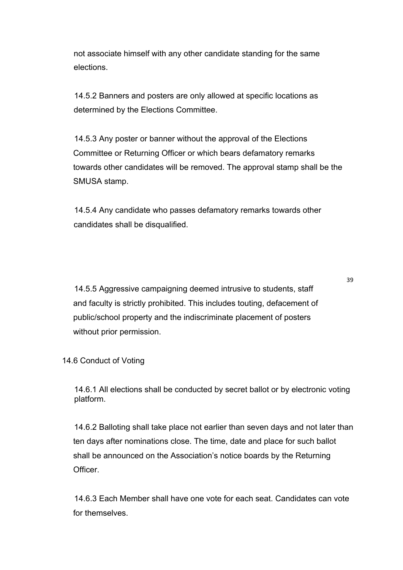not associate himself with any other candidate standing for the same elections.

14.5.2 Banners and posters are only allowed at specific locations as determined by the Elections Committee.

14.5.3 Any poster or banner without the approval of the Elections Committee or Returning Officer or which bears defamatory remarks towards other candidates will be removed. The approval stamp shall be the SMUSA stamp.

14.5.4 Any candidate who passes defamatory remarks towards other candidates shall be disqualified.

14.5.5 Aggressive campaigning deemed intrusive to students, staff and faculty is strictly prohibited. This includes touting, defacement of public/school property and the indiscriminate placement of posters without prior permission.

39

14.6 Conduct of Voting

14.6.1 All elections shall be conducted by secret ballot or by electronic voting platform.

14.6.2 Balloting shall take place not earlier than seven days and not later than ten days after nominations close. The time, date and place for such ballot shall be announced on the Association's notice boards by the Returning Officer.

14.6.3 Each Member shall have one vote for each seat. Candidates can vote for themselves.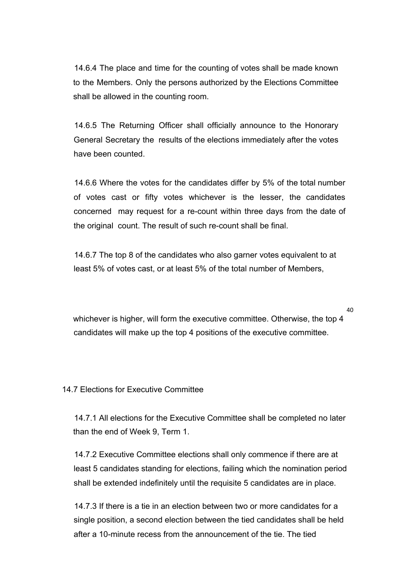14.6.4 The place and time for the counting of votes shall be made known to the Members. Only the persons authorized by the Elections Committee shall be allowed in the counting room.

14.6.5 The Returning Officer shall officially announce to the Honorary General Secretary the results of the elections immediately after the votes have been counted.

14.6.6 Where the votes for the candidates differ by 5% of the total number of votes cast or fifty votes whichever is the lesser, the candidates concerned may request for a re-count within three days from the date of the original count. The result of such re-count shall be final.

14.6.7 The top 8 of the candidates who also garner votes equivalent to at least 5% of votes cast, or at least 5% of the total number of Members,

whichever is higher, will form the executive committee. Otherwise, the top 4 candidates will make up the top 4 positions of the executive committee.

40

14.7 Elections for Executive Committee

14.7.1 All elections for the Executive Committee shall be completed no later than the end of Week 9, Term 1.

14.7.2 Executive Committee elections shall only commence if there are at least 5 candidates standing for elections, failing which the nomination period shall be extended indefinitely until the requisite 5 candidates are in place.

14.7.3 If there is a tie in an election between two or more candidates for a single position, a second election between the tied candidates shall be held after a 10-minute recess from the announcement of the tie. The tied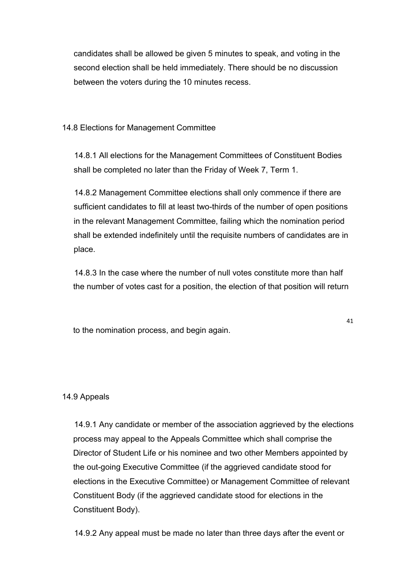candidates shall be allowed be given 5 minutes to speak, and voting in the second election shall be held immediately. There should be no discussion between the voters during the 10 minutes recess.

14.8 Elections for Management Committee

14.8.1 All elections for the Management Committees of Constituent Bodies shall be completed no later than the Friday of Week 7, Term 1.

14.8.2 Management Committee elections shall only commence if there are sufficient candidates to fill at least two-thirds of the number of open positions in the relevant Management Committee, failing which the nomination period shall be extended indefinitely until the requisite numbers of candidates are in place.

14.8.3 In the case where the number of null votes constitute more than half the number of votes cast for a position, the election of that position will return

to the nomination process, and begin again.

41

### 14.9 Appeals

14.9.1 Any candidate or member of the association aggrieved by the elections process may appeal to the Appeals Committee which shall comprise the Director of Student Life or his nominee and two other Members appointed by the out-going Executive Committee (if the aggrieved candidate stood for elections in the Executive Committee) or Management Committee of relevant Constituent Body (if the aggrieved candidate stood for elections in the Constituent Body).

14.9.2 Any appeal must be made no later than three days after the event or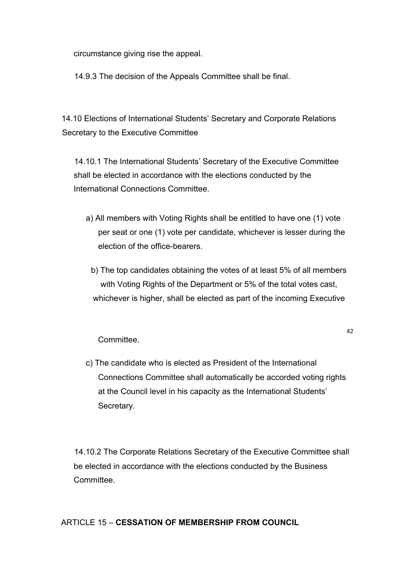circumstance giving rise the appeal.

14.9.3 The decision of the Appeals Committee shall be final.

14.10 Elections of International Students' Secretary and Corporate Relations Secretary to the Executive Committee

14.10.1 The International Students' Secretary of the Executive Committee shall be elected in accordance with the elections conducted by the International Connections Committee.

- a) All members with Voting Rights shall be entitled to have one (1) vote per seat or one (1) vote per candidate, whichever is lesser during the election of the office-bearers.
	- b) The top candidates obtaining the votes of at least 5% of all members with Voting Rights of the Department or 5% of the total votes cast, whichever is higher, shall be elected as part of the incoming Executive

42

#### Committee.

c) The candidate who is elected as President of the International Connections Committee shall automatically be accorded voting rights at the Council level in his capacity as the International Students' Secretary.

14.10.2 The Corporate Relations Secretary of the Executive Committee shall be elected in accordance with the elections conducted by the Business Committee.

### ARTICLE 15 – **CESSATION OF MEMBERSHIP FROM COUNCIL**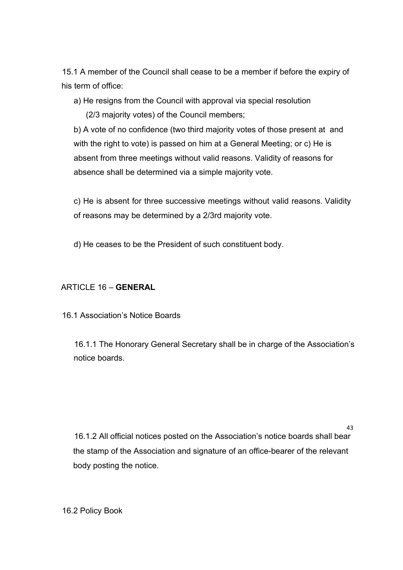15.1 A member of the Council shall cease to be a member if before the expiry of his term of office:

a) He resigns from the Council with approval via special resolution

(2/3 majority votes) of the Council members;

b) A vote of no confidence (two third majority votes of those present at and with the right to vote) is passed on him at a General Meeting; or c) He is absent from three meetings without valid reasons. Validity of reasons for absence shall be determined via a simple majority vote.

c) He is absent for three successive meetings without valid reasons. Validity of reasons may be determined by a 2/3rd majority vote.

d) He ceases to be the President of such constituent body.

## ARTICLE 16 – **GENERAL**

16.1 Association's Notice Boards

16.1.1 The Honorary General Secretary shall be in charge of the Association's notice boards.

16.1.2 All official notices posted on the Association's notice boards shall bear the stamp of the Association and signature of an office-bearer of the relevant body posting the notice.

43

16.2 Policy Book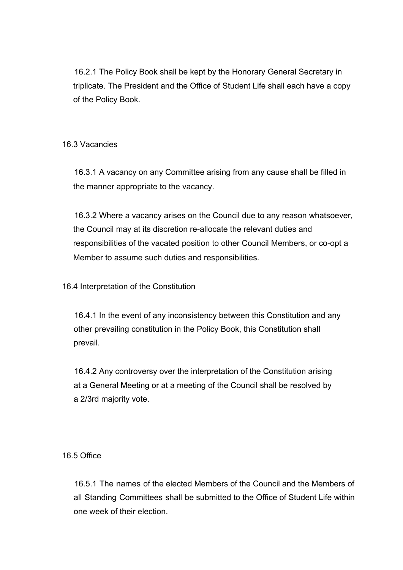16.2.1 The Policy Book shall be kept by the Honorary General Secretary in triplicate. The President and the Office of Student Life shall each have a copy of the Policy Book.

### 16.3 Vacancies

16.3.1 A vacancy on any Committee arising from any cause shall be filled in the manner appropriate to the vacancy.

16.3.2 Where a vacancy arises on the Council due to any reason whatsoever, the Council may at its discretion re-allocate the relevant duties and responsibilities of the vacated position to other Council Members, or co-opt a Member to assume such duties and responsibilities.

16.4 Interpretation of the Constitution

16.4.1 In the event of any inconsistency between this Constitution and any other prevailing constitution in the Policy Book, this Constitution shall prevail.

16.4.2 Any controversy over the interpretation of the Constitution arising at a General Meeting or at a meeting of the Council shall be resolved by a 2/3rd majority vote.

### 16.5 Office

16.5.1 The names of the elected Members of the Council and the Members of all Standing Committees shall be submitted to the Office of Student Life within one week of their election.